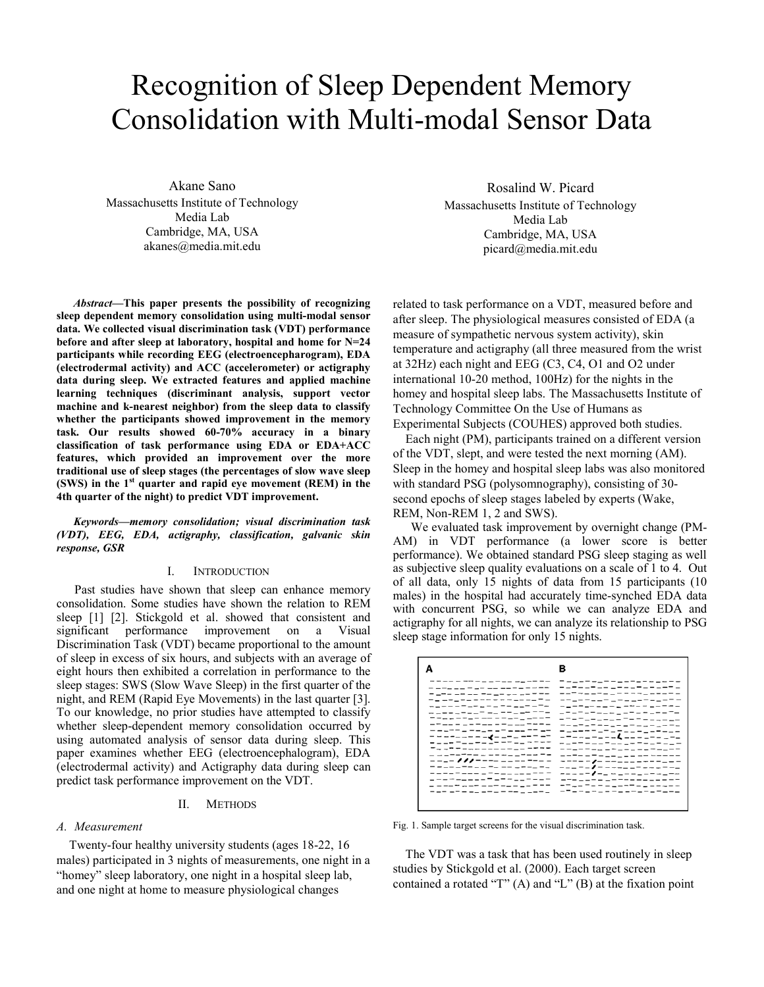# Recognition of Sleep Dependent Memory Consolidation with Multi-modal Sensor Data

Akane Sano Massachusetts Institute of Technology Media Lab Cambridge, MA, USA akanes@media.mit.edu

*Abstract***—This paper presents the possibility of recognizing sleep dependent memory consolidation using multi-modal sensor data. We collected visual discrimination task (VDT) performance before and after sleep at laboratory, hospital and home for N=24 participants while recording EEG (electroencepharogram), EDA (electrodermal activity) and ACC (accelerometer) or actigraphy data during sleep. We extracted features and applied machine learning techniques (discriminant analysis, support vector machine and k-nearest neighbor) from the sleep data to classify whether the participants showed improvement in the memory task. Our results showed 60-70% accuracy in a binary classification of task performance using EDA or EDA+ACC features, which provided an improvement over the more traditional use of sleep stages (the percentages of slow wave sleep (SWS) in the 1st quarter and rapid eye movement (REM) in the 4th quarter of the night) to predict VDT improvement.**

*Keywords—memory consolidation; visual discrimination task (VDT), EEG, EDA, actigraphy, classification, galvanic skin response, GSR* 

## I. INTRODUCTION

 Past studies have shown that sleep can enhance memory consolidation. Some studies have shown the relation to REM sleep [1] [2]. Stickgold et al. showed that consistent and significant performance improvement on a Visual Discrimination Task (VDT) became proportional to the amount of sleep in excess of six hours, and subjects with an average of eight hours then exhibited a correlation in performance to the sleep stages: SWS (Slow Wave Sleep) in the first quarter of the night, and REM (Rapid Eye Movements) in the last quarter [3]. To our knowledge, no prior studies have attempted to classify whether sleep-dependent memory consolidation occurred by using automated analysis of sensor data during sleep. This paper examines whether EEG (electroencephalogram), EDA (electrodermal activity) and Actigraphy data during sleep can predict task performance improvement on the VDT.

#### II. METHODS

#### *A. Measurement*

Twenty-four healthy university students (ages 18-22, 16 males) participated in 3 nights of measurements, one night in a "homey" sleep laboratory, one night in a hospital sleep lab, and one night at home to measure physiological changes

Rosalind W. Picard Massachusetts Institute of Technology Media Lab Cambridge, MA, USA picard@media.mit.edu

related to task performance on a VDT, measured before and after sleep. The physiological measures consisted of EDA (a measure of sympathetic nervous system activity), skin temperature and actigraphy (all three measured from the wrist at 32Hz) each night and EEG (C3, C4, O1 and O2 under international 10-20 method, 100Hz) for the nights in the homey and hospital sleep labs. The Massachusetts Institute of Technology Committee On the Use of Humans as Experimental Subjects (COUHES) approved both studies.

Each night (PM), participants trained on a different version of the VDT, slept, and were tested the next morning (AM). Sleep in the homey and hospital sleep labs was also monitored with standard PSG (polysomnography), consisting of 30 second epochs of sleep stages labeled by experts (Wake, REM, Non-REM 1, 2 and SWS).

We evaluated task improvement by overnight change (PM-AM) in VDT performance (a lower score is better performance). We obtained standard PSG sleep staging as well as subjective sleep quality evaluations on a scale of 1 to 4. Out of all data, only 15 nights of data from 15 participants (10 males) in the hospital had accurately time-synched EDA data with concurrent PSG, so while we can analyze EDA and actigraphy for all nights, we can analyze its relationship to PSG sleep stage information for only 15 nights.

|                                         | _____<br>--------                                    |    |
|-----------------------------------------|------------------------------------------------------|----|
| ---------------                         | -- <sup>-</sup> ----------                           |    |
| -----------------                       | ーニューニューニュー ニューニーニー<br>- -                            |    |
| ------------------                      | -------------------                                  |    |
| -------------------                     | コウェウェウェニャ ショウェウェウェ                                   | -- |
| マニューテュー ニー ニーニー ニーニーニ                   | ーニーウェーコーニー ニーニー ニュ <u>ー</u> ニュー                      |    |
| ------<br>--------                      | -------------------                                  |    |
| ------ <i>-----------</i>               | - - - - - - - - - - - - - - - - - - -                |    |
| -------- <b>----</b> ------             | -------------------                                  |    |
| ------------------                      | -------------------                                  |    |
| -------------------                     | ニーニーニーム ニニニーニーニアーニーニ                                 |    |
| _ _ _ _ _ _ _ _ _ _ _ _ _ _ _ _ _ _ _ _ | ---- ------                                          |    |
| ------------------                      | ---- <i>-1</i> - -----------                         |    |
| ---------------                         | --- -- <b>/</b> -------------                        |    |
| _ _ _ _ _ _ _ _ _ _ _ _ _ _ _ _ _ _ _   | ----- <b>/</b> -_-_-_---_--<br>--- ---- ------------ |    |
| ---------------                         | ------------------                                   |    |
|                                         |                                                      |    |
|                                         |                                                      |    |

Fig. 1. Sample target screens for the visual discrimination task.

The VDT was a task that has been used routinely in sleep studies by Stickgold et al. (2000). Each target screen contained a rotated "T" (A) and "L" (B) at the fixation point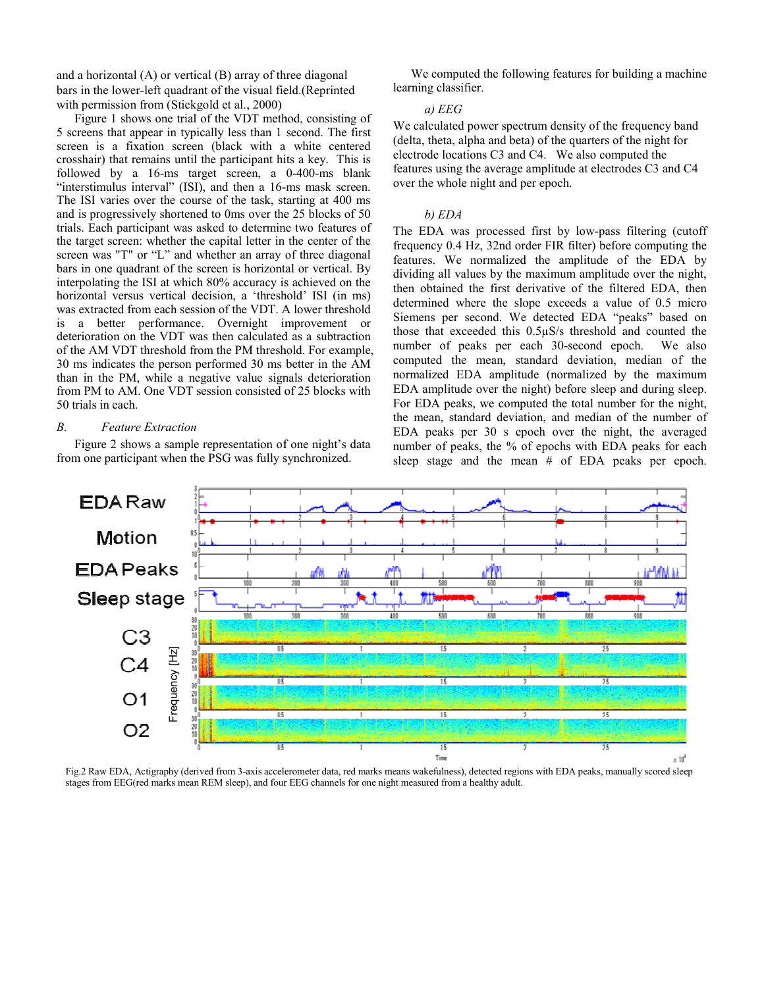and a horizontal  $(A)$  or vertical  $(B)$  array of three diagonal bars in the lower-left quadrant of the visual field.(Reprinted with permission from (Stickgold et al., 2000)

Figure 1 shows one trial of the VDT method, consisting of 5 screens that appear in typically less than 1 second. The first screen is a fixation screen (black with a a white centered crosshair) that remains until the participant hits a key. This is followed by a 16-ms target screen, a 0-400-ms blank "interstimulus interval" (ISI), and then a 16-ms mask screen. The ISI varies over the course of the task, starting at 400 ms and is progressively shortened to 0ms over the 25 blocks of 50 trials. Each participant was asked to determine two features of the target screen: whether the capital letter in the center of the screen was "T" or "L" and whether an array of three diagonal bars in one quadrant of the screen is horizontal or vertical. By interpolating the ISI at which 80% accuracy is s achieved on the horizontal versus vertical decision, a 'threshold' ISI (in ms) was extracted from each session of the VDT. A A lower threshold is a better performance. Overnight improvement or deterioration on the VDT was then calculated as a subtraction of the AM VDT threshold from the PM threshold. For example, 30 ms indicates the person performed 30 ms better in the AM than in the PM, while a negative value signals deterioration from PM to AM. One VDT session consisted of 25 blocks with 50 trials in each.

## *B. Feature Extraction*

Figure 2 shows a sample representation of one night's data from one participant when the PSG was fully synchronized.

We computed the following features for building a machine learning classifier.

# *a) EEG*

We calculated power spectrum density of the frequency band (delta, theta, alpha and beta) of the q quarters of the night for electrode locations C3 and C4. We e also computed the features using the average amplitud e at electrodes C3 and C4 over the whole night and per epoch. over the whole night and per epoch.<br>
b) EDA<br>
The EDA was processed first by low-pass filtering (cutoff

## *b) EDA*

frequency 0.4 Hz, 32nd order FIR f filter) before computing the features. We normalized the amplitude of the EDA by dividing all values by the maximum amplitude over the night, then obtained the first derivative of the filtered EDA, then determined where the slope exce eds a value of 0.5 micro Siemens per second. We detected d EDA "peaks" based on those that exceeded this  $0.5\mu$ S/s threshold and counted the number of peaks per each 30-second epoch. We also computed the mean, standard d deviation, median of the normalized EDA amplitude (norm malized by the maximum EDA amplitude over the night) bef fore sleep and during sleep. For EDA peaks, we computed the total number for the night, the mean, standard deviation, and median of the number of EDA peaks per 30 s epoch over the night, the averaged number of peaks, the % of epochs with EDA peaks for each sleep stage and the mean  $#$  of EDA peaks per epoch.



Fig.2 Raw EDA, Actigraphy (derived from 3-axis accelerometer data, red marks means wakefulness), detected regions with EDA peaks, manually scored sleep stages from EEG(red marks mean REM sleep), and four EEG channels for one night measured from a healthy adult.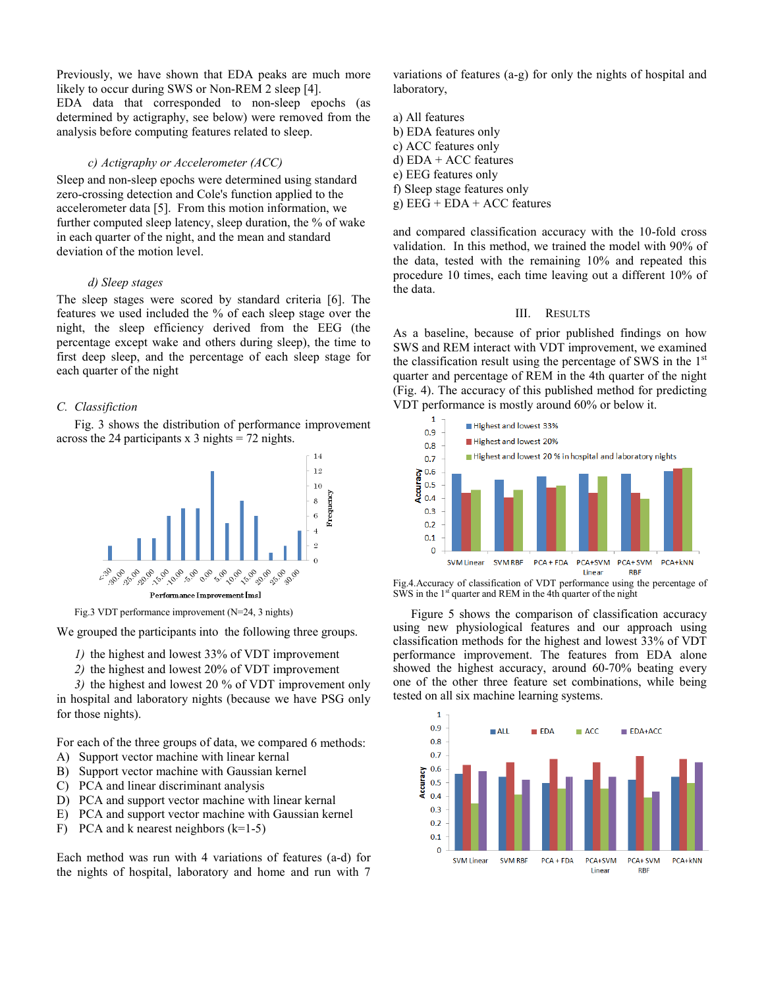Previously, we have shown that EDA peaks are much more likely to occur during SWS or Non-REM 2 sleep [4]. EDA data that corresponded to non-sleep epochs (as determined by actigraphy, see below) were removed from the analysis before computing features related to sleep.

## *c) Actigraphy or Accelerometer (ACC)*

Sleep and non-sleep epochs were determined using standard zero-crossing detection and Cole's function applied to the accelerometer data [5]. From this motion information, we further computed sleep latency, sleep duration, the % of wake in each quarter of the night, and the mean and standard deviation of the motion level.

## *d) Sleep stages*

The sleep stages were scored by standard criteria [6]. The features we used included the % of each sleep stage over the night, the sleep efficiency derived from the EEG (the percentage except wake and others during sl eep), the time to first deep sleep, and the percentage of each sleep stage for each quarter of the night

#### *C. Classifiction*

Fig. 3 shows the distribution of performance improvement across the 24 participants  $x$  3 nights = 72 nights.



Fig.3 VDT performance improvement (N=24, 3 nights)

We grouped the participants into the following three groups.

*1*) the highest and lowest 33% of VDT improvement

2) the highest and lowest 20% of VDT improvement

3) the highest and lowest 20 % of VDT improvement only in hospital and laboratory nights (because we have PSG only for those nights).

For each of the three groups of data, we compared 6 methods:

- A) Support vector machine with linear kernal
- B) Support vector machine with Gaussian kernel
- C) PCA and linear discriminant analysis
- D) PCA and support vector machine with linear kernal
- E) PCA and support vector machine with Gaussian kernel
- F) PCA and k nearest neighbors  $(k=1-5)$

Each method was run with 4 variations of f features (a-d) for the nights of hospital, laboratory and home and run with 7

variations of features (a-g) for only the nights of hospital and laboratory,

- a) All features b) EDA features only c) ACC features only d) EDA + ACC features e) EEG features only f) Sleep stage features only
- $g) EEG + EDA + ACC$  features

and compared classification accuracy with the 10-fold cross validation. In this method, we trained the model with 90% of the data, tested with the remainin ng 10% and repeated this procedure 10 times, each time leaving out a different 10% of the data.

## III. RESULTS

As a baseline, because of prior p published findings on how SWS and REM interact with VDT improvement, we examined the classification result using the percentage of SWS in the  $1<sup>st</sup>$ quarter and percentage of REM in the 4th quarter of the night (Fig. 4). The accuracy of this publi shed method for predicting VDT performance is mostly around d 60% or below it.



Fig.4.Accuracy of classification of VDT performance using the percentage of  $\overline{\text{SWS}}$  in the 1<sup>st</sup> quarter and REM in the 4th quarter of the night

Figure 5 shows the comparison of classification accuracy using new physiological features and our approach using classification methods for the highest and lowest 33% of VDT performance improvement. The f features from EDA alone showed the highest accuracy, around 60-70% beating every one of the other three feature set combinations, while being tested on all six machine learning systems.